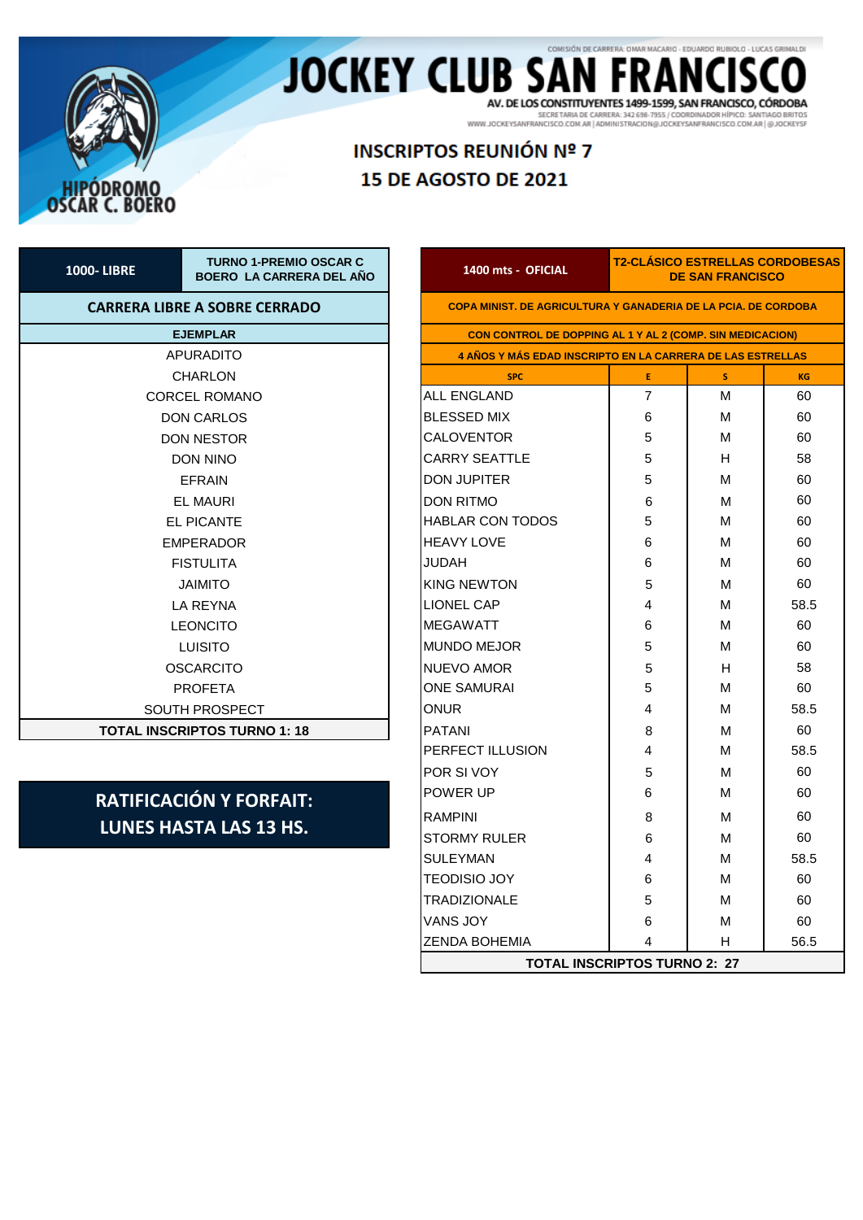

### COMISIÓN DE CARRERA: OMAR MACARIO - EDUARDO RUBIOLO - LUCAS GRIMALDI **JOCKEY CLUB SAI** AV. DE LOS CONSTITUYENTES 1499-1599, SAN FRANCISCO, CÓRDOBA

SECRETARIA DE CARRERA: 342 688-7955 / COORDINADOR HÍPICO: SANTIAGO BRITOS<br>WWW.JOCKEYSANFRANCISCO.COM.AR | ADMINISTRACION@JOCKEYSANFRANCISCO.COM.AR | @JOCKEYSF

# **INSCRIPTOS REUNIÓN Nº 7** 15 DE AGOSTO DE 2021

| <b>1000-LIBRE</b> | <b>TURNO 1-PREMIO OSCAR C</b><br>BOERO LA CARRERA DEL AÑO | 1400 mts - OFICIAL           |  |  |  |  |  |
|-------------------|-----------------------------------------------------------|------------------------------|--|--|--|--|--|
|                   | <b>CARRERA LIBRE A SOBRE CERRADO</b>                      | <b>COPA MINIST. DE AGRIC</b> |  |  |  |  |  |
|                   | <b>EJEMPLAR</b>                                           |                              |  |  |  |  |  |
|                   | APURADITO                                                 |                              |  |  |  |  |  |
|                   | <b>CHARLON</b>                                            | <b>SPC</b>                   |  |  |  |  |  |
|                   | <b>CORCEL ROMANO</b>                                      | ALL ENGLAND                  |  |  |  |  |  |
|                   | <b>DON CARLOS</b>                                         | <b>BLESSED MIX</b>           |  |  |  |  |  |
|                   | <b>DON NESTOR</b>                                         | <b>CALOVENTOR</b>            |  |  |  |  |  |
|                   | <b>DON NINO</b>                                           |                              |  |  |  |  |  |
|                   | <b>FFRAIN</b>                                             | <b>DON JUPITER</b>           |  |  |  |  |  |
|                   | <b>EL MAURI</b>                                           | <b>DON RITMO</b>             |  |  |  |  |  |
|                   | <b>EL PICANTE</b>                                         | <b>HABLAR CON TODOS</b>      |  |  |  |  |  |
|                   | <b>EMPERADOR</b>                                          | <b>HEAVY LOVE</b>            |  |  |  |  |  |
|                   | <b>FISTULITA</b>                                          | JUDAH                        |  |  |  |  |  |
|                   | <b>JAIMITO</b>                                            | <b>KING NEWTON</b>           |  |  |  |  |  |
|                   | <b>LA REYNA</b>                                           | <b>LIONEL CAP</b>            |  |  |  |  |  |
|                   | <b>LEONCITO</b>                                           | <b>MEGAWATT</b>              |  |  |  |  |  |
|                   | <b>LUISITO</b>                                            | <b>MUNDO MEJOR</b>           |  |  |  |  |  |
|                   | <b>OSCARCITO</b>                                          | <b>NUEVO AMOR</b>            |  |  |  |  |  |
|                   | <b>PROFETA</b>                                            | <b>ONE SAMURAI</b>           |  |  |  |  |  |
|                   | <b>SOUTH PROSPECT</b>                                     | <b>ONUR</b>                  |  |  |  |  |  |
|                   | <b>TOTAL INSCRIPTOS TURNO 1: 18</b>                       | <b>PATANI</b>                |  |  |  |  |  |

## **RATIFICACIÓN Y FORFAIT: LUNES HASTA LAS 13 HS.**

| 1400 mts - OFICIAL                                                | <b>T2-CLASICO ESTRELLAS CORDOBESAS</b><br><b>DE SAN FRANCISCO</b> |   |      |  |  |  |  |  |
|-------------------------------------------------------------------|-------------------------------------------------------------------|---|------|--|--|--|--|--|
| COPA MINIST. DE AGRICULTURA Y GANADERIA DE LA PCIA. DE CORDOBA    |                                                                   |   |      |  |  |  |  |  |
| CON CONTROL DE DOPPING AL 1 Y AL 2 (COMP. SIN MEDICACION)         |                                                                   |   |      |  |  |  |  |  |
| <b>4 AÑOS Y MÁS EDAD INSCRIPTO EN LA CARRERA DE LAS ESTRELLAS</b> |                                                                   |   |      |  |  |  |  |  |
| E.<br>s.<br><b>SPC</b><br>KG                                      |                                                                   |   |      |  |  |  |  |  |
| <b>ALL ENGLAND</b>                                                | 7                                                                 | М | 60   |  |  |  |  |  |
| <b>BLESSED MIX</b>                                                | 6                                                                 | М | 60   |  |  |  |  |  |
| CALOVENTOR                                                        | 5                                                                 | М | 60   |  |  |  |  |  |
| <b>CARRY SEATTLE</b>                                              | 5                                                                 | н | 58   |  |  |  |  |  |
| <b>DON JUPITER</b>                                                | 5                                                                 | М | 60   |  |  |  |  |  |
| <b>DON RITMO</b>                                                  | 6                                                                 | М | 60   |  |  |  |  |  |
| <b>HABLAR CON TODOS</b>                                           | 5                                                                 | м | 60   |  |  |  |  |  |
| <b>HEAVY LOVE</b>                                                 | 6                                                                 | м | 60   |  |  |  |  |  |
| <b>JUDAH</b>                                                      | 6                                                                 | М | 60   |  |  |  |  |  |
| <b>KING NEWTON</b>                                                | 5                                                                 | м | 60   |  |  |  |  |  |
| <b>LIONEL CAP</b>                                                 | 4                                                                 | М | 58.5 |  |  |  |  |  |
| <b>MEGAWATT</b>                                                   | 6                                                                 | м | 60   |  |  |  |  |  |
| <b>MUNDO MEJOR</b>                                                | 5                                                                 | м | 60   |  |  |  |  |  |
| <b>NUEVO AMOR</b>                                                 | 5                                                                 | н | 58   |  |  |  |  |  |
| ONE SAMURAI                                                       | 5                                                                 | М | 60   |  |  |  |  |  |
| onur                                                              | 4                                                                 | м | 58.5 |  |  |  |  |  |
| <b>PATANI</b>                                                     | 8                                                                 | м | 60   |  |  |  |  |  |
| PERFECT ILLUSION                                                  | 4                                                                 | м | 58.5 |  |  |  |  |  |
| POR SI VOY                                                        | 5                                                                 | м | 60   |  |  |  |  |  |
| POWER UP                                                          | 6                                                                 | М | 60   |  |  |  |  |  |
| <b>RAMPINI</b>                                                    | 8                                                                 | М | 60   |  |  |  |  |  |
| <b>STORMY RULER</b>                                               | 6                                                                 | М | 60   |  |  |  |  |  |
| SULEYMAN                                                          | 4                                                                 | М | 58.5 |  |  |  |  |  |
| TEODISIO JOY                                                      | 6                                                                 | м | 60   |  |  |  |  |  |
| <b>TRADIZIONALE</b>                                               | 5                                                                 | М | 60   |  |  |  |  |  |
| <b>VANS JOY</b>                                                   | 6                                                                 | М | 60   |  |  |  |  |  |
| <b>ZENDA BOHEMIA</b>                                              | 4                                                                 | н | 56.5 |  |  |  |  |  |
| <b>TOTAL INSCRIPTOS TURNO 2: 27</b>                               |                                                                   |   |      |  |  |  |  |  |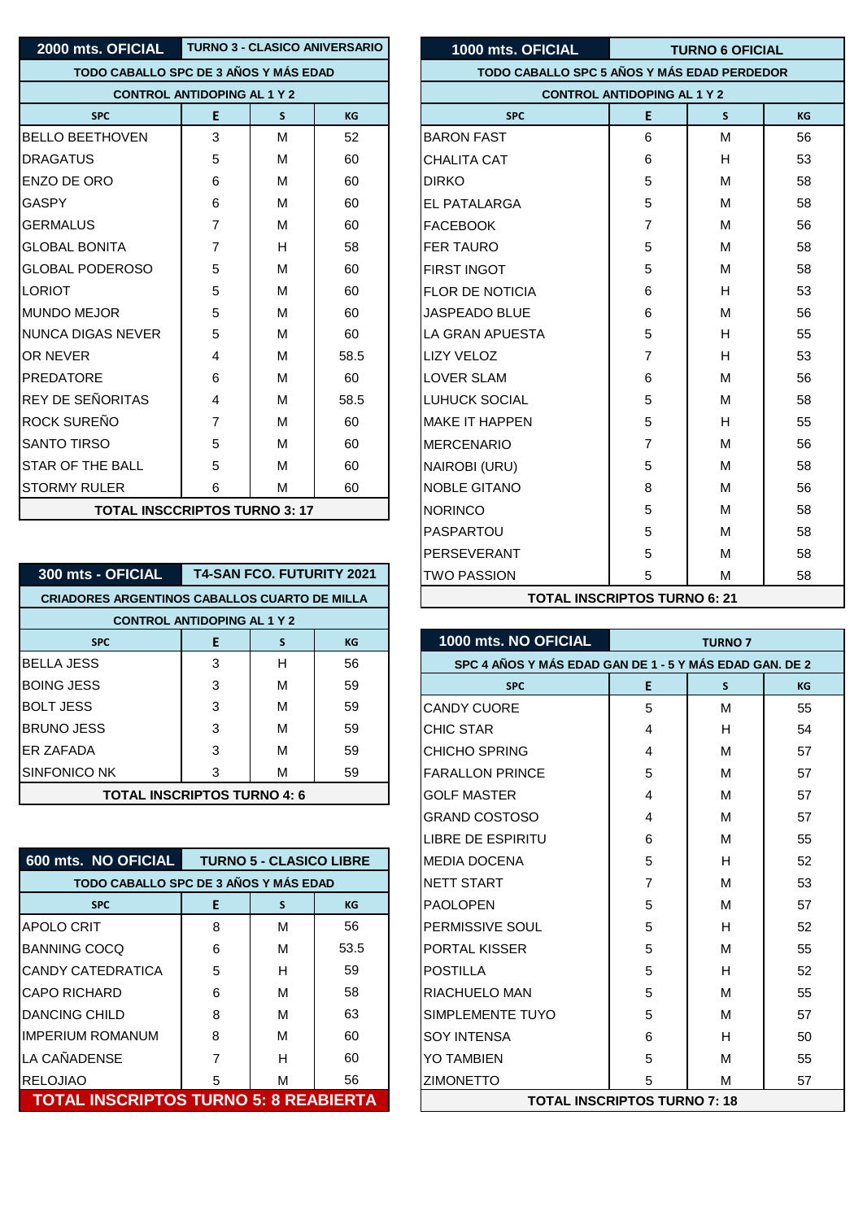| 2000 mts. OFICIAL                   |                                       |   | <b>TURNO 3 - CLASICO ANIVERSARIO</b> | 1000 mts. OFICIAL      |  |  |  |  |  |
|-------------------------------------|---------------------------------------|---|--------------------------------------|------------------------|--|--|--|--|--|
|                                     | TODO CABALLO SPC DE 3 AÑOS Y MÁS EDAD |   |                                      |                        |  |  |  |  |  |
|                                     | <b>CONTROL ANTIDOPING AL 1 Y 2</b>    |   |                                      |                        |  |  |  |  |  |
| <b>SPC</b>                          | E                                     | S | <b>KG</b>                            | <b>SPC</b>             |  |  |  |  |  |
| <b>BELLO BEETHOVEN</b>              | 3                                     | М | 52                                   | <b>BARON FAST</b>      |  |  |  |  |  |
| <b>DRAGATUS</b>                     | 5                                     | M | 60                                   | CHALITA CAT            |  |  |  |  |  |
| ENZO DE ORO                         | 6                                     | м | 60                                   | <b>DIRKO</b>           |  |  |  |  |  |
| <b>GASPY</b>                        | 6                                     | м | 60                                   | EL PATALARGA           |  |  |  |  |  |
| <b>GERMALUS</b>                     | $\overline{7}$                        | M | 60                                   | <b>FACEBOOK</b>        |  |  |  |  |  |
| <b>GLOBAL BONITA</b>                | $\overline{7}$                        | H | 58                                   | <b>FER TAURO</b>       |  |  |  |  |  |
| <b>GLOBAL PODEROSO</b>              | 5                                     | М | 60                                   | FIRST INGOT            |  |  |  |  |  |
| <b>LORIOT</b>                       | 5                                     | M | 60                                   | <b>FLOR DE NOTICIA</b> |  |  |  |  |  |
| <b>MUNDO MEJOR</b>                  | 5                                     | м | 60                                   | <b>JASPEADO BLUE</b>   |  |  |  |  |  |
| NUNCA DIGAS NEVER                   | 5                                     | М | 60                                   | <b>LA GRAN APUESTA</b> |  |  |  |  |  |
| OR NEVER                            | 4                                     | M | 58.5                                 | <b>LIZY VELOZ</b>      |  |  |  |  |  |
| <b>PREDATORE</b>                    | 6                                     | M | 60                                   | <b>LOVER SLAM</b>      |  |  |  |  |  |
| <b>REY DE SEÑORITAS</b>             | 4                                     | м | 58.5                                 | <b>LUHUCK SOCIAL</b>   |  |  |  |  |  |
| ROCK SUREÑO                         | $\overline{7}$                        | м | 60                                   | <b>MAKE IT HAPPEN</b>  |  |  |  |  |  |
| <b>SANTO TIRSO</b>                  | 5                                     | M | 60                                   | <b>MERCENARIO</b>      |  |  |  |  |  |
| <b>STAR OF THE BALL</b>             | 5                                     | М | 60                                   | NAIROBI (URU)          |  |  |  |  |  |
| <b>STORMY RULER</b>                 | 6                                     | M | 60                                   | <b>NOBLE GITANO</b>    |  |  |  |  |  |
| <b>TOTAL INCOCPIDTOS TURNO 2.47</b> |                                       |   |                                      | <b>NODINICO</b>        |  |  |  |  |  |

| 300 mts - OFICIAL                                    |                    | <b>T4-SAN FCO. FUTURITY 2021</b> |    | TWO PASSION                 |
|------------------------------------------------------|--------------------|----------------------------------|----|-----------------------------|
| <b>CRIADORES ARGENTINOS CABALLOS CUARTO DE MILLA</b> | <b>TOTAL IN:</b>   |                                  |    |                             |
| <b>CONTROL ANTIDOPING AL 1 Y 2</b>                   |                    |                                  |    |                             |
| <b>SPC</b>                                           | E                  | S                                | KG | 1000 mts. NO OFICIAL        |
| <b>BELLA JESS</b>                                    | 3                  | н                                | 56 | <b>SPC 4 AÑOS Y MÁS EDA</b> |
| <b>BOING JESS</b>                                    | 3                  | M                                | 59 | <b>SPC</b>                  |
| <b>BOLT JESS</b>                                     | 3                  | M                                | 59 | <b>CANDY CUORE</b>          |
| <b>BRUNO JESS</b>                                    | 3                  | M                                | 59 | <b>CHIC STAR</b>            |
| <b>FR ZAFADA</b>                                     | 3                  | М                                | 59 | <b>CHICHO SPRING</b>        |
| <b>SINFONICO NK</b>                                  | 3                  | M                                | 59 | <b>FARALLON PRINCE</b>      |
| <b>TOTAL INSCRIPTOS TURNO 4: 6</b>                   | <b>GOLF MASTER</b> |                                  |    |                             |
|                                                      |                    |                                  |    |                             |

| 600 mts. NO OFICIAL                          | <b>TURNO 5 - CLASICO LIBRE</b> |   |      | <b>MEDIA DOCENA</b> | 5                                   | н |   |
|----------------------------------------------|--------------------------------|---|------|---------------------|-------------------------------------|---|---|
| TODO CABALLO SPC DE 3 AÑOS Y MÁS EDAD        |                                |   |      | <b>NETT START</b>   |                                     | M |   |
| <b>SPC</b>                                   | Е                              | s | KG   |                     | <b>PAOLOPEN</b>                     | 5 | M |
| <b>APOLO CRIT</b>                            | 8                              | M | 56   |                     | <b>PERMISSIVE SOUL</b>              | 5 | н |
| <b>IBANNING COCQ</b>                         | 6                              | M | 53.5 |                     | IPORTAL KISSER                      | 5 | M |
| <b>ICANDY CATEDRATICA</b>                    | 5                              | Н | 59   |                     | <b>POSTILLA</b>                     | 5 | н |
| ICAPO RICHARD                                | 6                              | M | 58   |                     | RIACHUELO MAN                       | 5 | M |
| IDANCING CHILD                               | 8                              | M | 63   |                     | <b>SIMPLEMENTE TUYO</b>             | 5 | M |
| IIMPERIUM ROMANUM                            | 8                              | M | 60   |                     | <b>SOY INTENSA</b>                  | 6 | Н |
| LA CAÑADENSE                                 |                                | н | 60   |                     | YO TAMBIEN                          |   | M |
| <b>RELOJIAO</b>                              | 5                              | M | 56   |                     | <b>ZIMONETTO</b>                    | 5 | M |
| <b>TOTAL INSCRIPTOS TURNO 5: 8 REABIERTA</b> |                                |   |      |                     | <b>TOTAL INSCRIPTOS TURNO 7: 18</b> |   |   |

| 2000 mts. OFICIAL                                    | <b>TURNO 3 - CLASICO ANIVERSARIO</b> |   | 1000 mts. OFICIAL                           | <b>TURNO 6 OFICIAL</b>   |                |    |    |
|------------------------------------------------------|--------------------------------------|---|---------------------------------------------|--------------------------|----------------|----|----|
| TODO CABALLO SPC DE 3 AÑOS Y MÁS EDAD                |                                      |   | TODO CABALLO SPC 5 AÑOS Y MÁS EDAD PERDEDOR |                          |                |    |    |
| <b>CONTROL ANTIDOPING AL 1 Y 2</b>                   |                                      |   | <b>CONTROL ANTIDOPING AL 1 Y 2</b>          |                          |                |    |    |
| <b>SPC</b>                                           | E                                    | S | <b>KG</b>                                   | <b>SPC</b>               | E              | S. | KG |
| <b>BELLO BEETHOVEN</b>                               | 3                                    | M | 52                                          | <b>BARON FAST</b>        | 6              | M  | 56 |
| DRAGATUS                                             | 5                                    | M | 60                                          | <b>CHALITA CAT</b>       | 6              | H  | 53 |
| ENZO DE ORO                                          | 6                                    | M | 60                                          | <b>DIRKO</b>             | 5              | M  | 58 |
| GASPY                                                | 6                                    | м | 60                                          | <b>IEL PATALARGA</b>     | 5              | M  | 58 |
| GERMALUS                                             | $\overline{7}$                       | M | 60                                          | <b>FACEBOOK</b>          | 7              | M  | 56 |
| GLOBAL BONITA                                        | $\overline{7}$                       | H | 58                                          | <b>FER TAURO</b>         | 5              | м  | 58 |
| <b>GLOBAL PODEROSO</b>                               | 5                                    | M | 60                                          | <b>FIRST INGOT</b>       | 5              | M  | 58 |
| LORIOT                                               | 5                                    | M | 60                                          | IFLOR DE NOTICIA         | 6              | H  | 53 |
| MUNDO MEJOR                                          | 5                                    | м | 60                                          | JASPEADO BLUE            | 6              | M  | 56 |
| NUNCA DIGAS NEVER                                    | 5                                    | M | 60                                          | <b>I</b> LA GRAN APUESTA | 5              | H  | 55 |
| OR NEVER                                             | 4                                    | M | 58.5                                        | <b>LIZY VELOZ</b>        | 7              | H  | 53 |
| PREDATORE                                            | 6                                    | M | 60                                          | <b>LOVER SLAM</b>        | 6              | M  | 56 |
| REY DE SEÑORITAS                                     | 4                                    | M | 58.5                                        | <b>LUHUCK SOCIAL</b>     | 5              | M  | 58 |
| ROCK SUREÑO                                          | $\overline{7}$                       | M | 60                                          | <b>MAKE IT HAPPEN</b>    | 5              | H  | 55 |
| SANTO TIRSO                                          | 5                                    | M | 60                                          | <b>MERCENARIO</b>        | $\overline{7}$ | M  | 56 |
| STAR OF THE BALL                                     | 5                                    | M | 60                                          | NAIROBI (URU)            | 5              | M  | 58 |
| <b>STORMY RULER</b>                                  | 6                                    | M | 60                                          | <b>NOBLE GITANO</b>      | 8              | M  | 56 |
| <b>TOTAL INSCCRIPTOS TURNO 3: 17</b>                 |                                      |   |                                             | <b>NORINCO</b>           | 5              | M  | 58 |
|                                                      |                                      |   |                                             | PASPARTOU                | 5              | M  | 58 |
|                                                      |                                      |   | PERSEVERANT                                 | 5                        | M              | 58 |    |
| 300 mts - OFICIAL                                    |                                      |   | <b>T4-SAN FCO. FUTURITY 2021</b>            | <b>TWO PASSION</b>       | 5              | M  | 58 |
| <b>CRIADORES ARGENTINOS CABALLOS CUARTO DE MILLA</b> |                                      |   | <b>TOTAL INSCRIPTOS TURNO 6: 21</b>         |                          |                |    |    |

| <b>SPC</b>                                   | E | S                              | KG   | 1000 mts. NO OFICIAL                                    |   | <b>TURNO 7</b> |    |
|----------------------------------------------|---|--------------------------------|------|---------------------------------------------------------|---|----------------|----|
| BELLA JESS                                   | 3 | H                              | 56   | SPC 4 AÑOS Y MÁS EDAD GAN DE 1 - 5 Y MÁS EDAD GAN. DE 2 |   |                |    |
| BOING JESS                                   | 3 | M                              | 59   | <b>SPC</b>                                              | Е | S.             | KG |
| <b>BOLT JESS</b>                             | 3 | M                              | 59   | <b>CANDY CUORE</b>                                      | 5 | M              | 55 |
| BRUNO JESS                                   | 3 | м                              | 59   | <b>CHIC STAR</b>                                        | 4 | н              | 54 |
| ER ZAFADA                                    | 3 | м                              | 59   | <b>CHICHO SPRING</b>                                    | 4 | M              | 57 |
| SINFONICO NK                                 | 3 | M                              | 59   | <b>FARALLON PRINCE</b>                                  | 5 | M              | 57 |
| <b>TOTAL INSCRIPTOS TURNO 4: 6</b>           |   |                                |      | <b>GOLF MASTER</b>                                      | 4 | м              | 57 |
|                                              |   |                                |      | <b>GRAND COSTOSO</b>                                    | 4 | M              | 57 |
|                                              |   |                                |      | <b>LIBRE DE ESPIRITU</b>                                | 6 | M              | 55 |
| 600 mts. NO OFICIAL                          |   | <b>TURNO 5 - CLASICO LIBRE</b> |      | <b>MEDIA DOCENA</b>                                     | 5 | н              | 52 |
| TODO CABALLO SPC DE 3 AÑOS Y MÁS EDAD        |   |                                |      | <b>NETT START</b>                                       | 7 | M              | 53 |
| <b>SPC</b>                                   | E | <sub>S</sub>                   | KG   | <b>PAOLOPEN</b>                                         | 5 | м              | 57 |
| APOLO CRIT                                   | 8 | M                              | 56   | <b>PERMISSIVE SOUL</b>                                  | 5 | H              | 52 |
| <b>BANNING COCO</b>                          | 6 | M                              | 53.5 | <b>PORTAL KISSER</b>                                    | 5 | M              | 55 |
| CANDY CATEDRATICA                            | 5 | H                              | 59   | <b>POSTILLA</b>                                         | 5 | н              | 52 |
| CAPO RICHARD                                 | 6 | M                              | 58   | <b>RIACHUELO MAN</b>                                    | 5 | M              | 55 |
| <b>DANCING CHILD</b>                         | 8 | м                              | 63   | <b>SIMPLEMENTE TUYO</b>                                 | 5 | м              | 57 |
| IMPERIUM ROMANUM                             | 8 | м                              | 60   | <b>SOY INTENSA</b>                                      | 6 | н              | 50 |
| LA CAÑADENSE                                 |   | н                              | 60   | <b>YO TAMBIEN</b>                                       | 5 | M              | 55 |
| RELOJIAO                                     | 5 | м                              | 56   | <b>ZIMONETTO</b>                                        | 5 | M              | 57 |
| <b>TOTAL INSCRIPTOS TURNO 5: 8 REABIERTA</b> |   |                                |      | <b>TOTAL INSCRIPTOS TURNO 7: 18</b>                     |   |                |    |